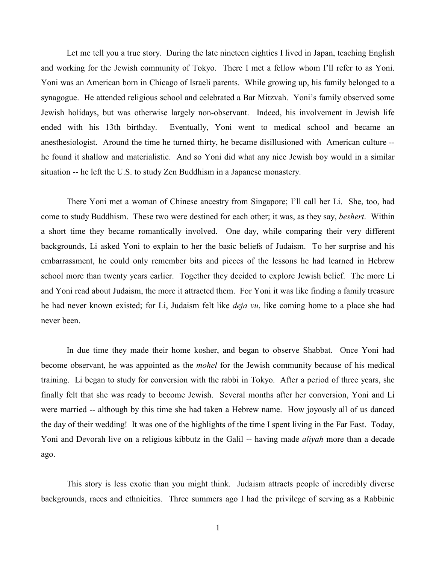Let me tell you a true story. During the late nineteen eighties I lived in Japan, teaching English and working for the Jewish community of Tokyo. There I met a fellow whom I'll refer to as Yoni. Yoni was an American born in Chicago of Israeli parents. While growing up, his family belonged to a synagogue. He attended religious school and celebrated a Bar Mitzvah. Yoni's family observed some Jewish holidays, but was otherwise largely non-observant. Indeed, his involvement in Jewish life ended with his 13th birthday. Eventually, Yoni went to medical school and became an anesthesiologist. Around the time he turned thirty, he became disillusioned with American culture - he found it shallow and materialistic. And so Yoni did what any nice Jewish boy would in a similar situation -- he left the U.S. to study Zen Buddhism in a Japanese monastery.

There Yoni met a woman of Chinese ancestry from Singapore; I'll call her Li. She, too, had come to study Buddhism. These two were destined for each other; it was, as they say, *beshert*. Within a short time they became romantically involved. One day, while comparing their very different backgrounds, Li asked Yoni to explain to her the basic beliefs of Judaism. To her surprise and his embarrassment, he could only remember bits and pieces of the lessons he had learned in Hebrew school more than twenty years earlier. Together they decided to explore Jewish belief. The more Li and Yoni read about Judaism, the more it attracted them. For Yoni it was like finding a family treasure he had never known existed; for Li, Judaism felt like *deja vu*, like coming home to a place she had never been.

In due time they made their home kosher, and began to observe Shabbat. Once Yoni had become observant, he was appointed as the *mohel* for the Jewish community because of his medical training. Li began to study for conversion with the rabbi in Tokyo. After a period of three years, she finally felt that she was ready to become Jewish. Several months after her conversion, Yoni and Li were married -- although by this time she had taken a Hebrew name. How joyously all of us danced the day of their wedding! It was one of the highlights of the time I spent living in the Far East. Today, Yoni and Devorah live on a religious kibbutz in the Galil -- having made *aliyah* more than a decade ago.

This story is less exotic than you might think. Judaism attracts people of incredibly diverse backgrounds, races and ethnicities. Three summers ago I had the privilege of serving as a Rabbinic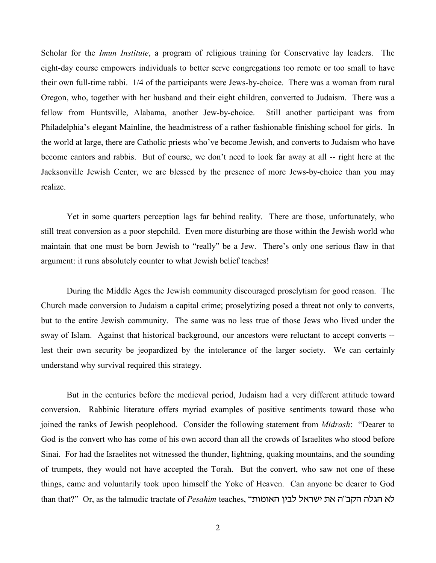Scholar for the *Imun Institute*, a program of religious training for Conservative lay leaders. The eight-day course empowers individuals to better serve congregations too remote or too small to have their own full-time rabbi. 1/4 of the participants were Jews-by-choice. There was a woman from rural Oregon, who, together with her husband and their eight children, converted to Judaism. There was a fellow from Huntsville, Alabama, another Jew-by-choice. Still another participant was from Philadelphia's elegant Mainline, the headmistress of a rather fashionable finishing school for girls. In the world at large, there are Catholic priests who've become Jewish, and converts to Judaism who have become cantors and rabbis. But of course, we don't need to look far away at all -- right here at the Jacksonville Jewish Center, we are blessed by the presence of more Jews-by-choice than you may realize.

Yet in some quarters perception lags far behind reality. There are those, unfortunately, who still treat conversion as a poor stepchild. Even more disturbing are those within the Jewish world who maintain that one must be born Jewish to "really" be a Jew. There's only one serious flaw in that argument: it runs absolutely counter to what Jewish belief teaches!

During the Middle Ages the Jewish community discouraged proselytism for good reason. The Church made conversion to Judaism a capital crime; proselytizing posed a threat not only to converts, but to the entire Jewish community. The same was no less true of those Jews who lived under the sway of Islam. Against that historical background, our ancestors were reluctant to accept converts - lest their own security be jeopardized by the intolerance of the larger society. We can certainly understand why survival required this strategy.

But in the centuries before the medieval period, Judaism had a very different attitude toward conversion. Rabbinic literature offers myriad examples of positive sentiments toward those who joined the ranks of Jewish peoplehood. Consider the following statement from *Midrash*: "Dearer to God is the convert who has come of his own accord than all the crowds of Israelites who stood before Sinai. For had the Israelites not witnessed the thunder, lightning, quaking mountains, and the sounding of trumpets, they would not have accepted the Torah. But the convert, who saw not one of these things, came and voluntarily took upon himself the Yoke of Heaven. Can anyone be dearer to God than that?" Or, as the talmudic tractate of *Pesahim* teaches, "הגלה הקב"ה את ישראל לבין האומות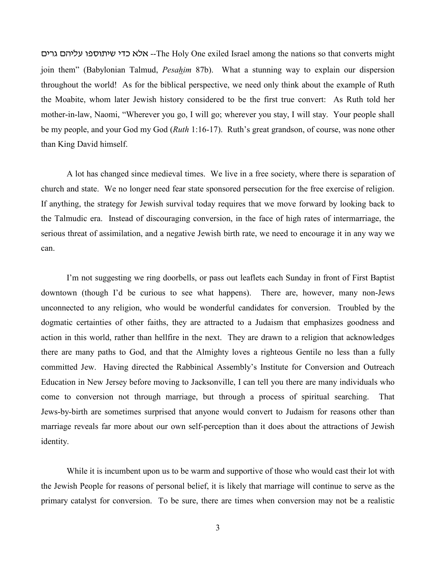ohrd ovhkg upxu,ha hsf tkt --The Holy One exiled Israel among the nations so that converts might join them" (Babylonian Talmud, *Pesahim* 87b). What a stunning way to explain our dispersion throughout the world! As for the biblical perspective, we need only think about the example of Ruth the Moabite, whom later Jewish history considered to be the first true convert: As Ruth told her mother-in-law, Naomi, "Wherever you go, I will go; wherever you stay, I will stay. Your people shall be my people, and your God my God (*Ruth* 1:16-17). Ruth's great grandson, of course, was none other than King David himself.

A lot has changed since medieval times. We live in a free society, where there is separation of church and state. We no longer need fear state sponsored persecution for the free exercise of religion. If anything, the strategy for Jewish survival today requires that we move forward by looking back to the Talmudic era. Instead of discouraging conversion, in the face of high rates of intermarriage, the serious threat of assimilation, and a negative Jewish birth rate, we need to encourage it in any way we can.

I'm not suggesting we ring doorbells, or pass out leaflets each Sunday in front of First Baptist downtown (though I'd be curious to see what happens). There are, however, many non-Jews unconnected to any religion, who would be wonderful candidates for conversion. Troubled by the dogmatic certainties of other faiths, they are attracted to a Judaism that emphasizes goodness and action in this world, rather than hellfire in the next. They are drawn to a religion that acknowledges there are many paths to God, and that the Almighty loves a righteous Gentile no less than a fully committed Jew. Having directed the Rabbinical Assembly's Institute for Conversion and Outreach Education in New Jersey before moving to Jacksonville, I can tell you there are many individuals who come to conversion not through marriage, but through a process of spiritual searching. That Jews-by-birth are sometimes surprised that anyone would convert to Judaism for reasons other than marriage reveals far more about our own self-perception than it does about the attractions of Jewish identity.

While it is incumbent upon us to be warm and supportive of those who would cast their lot with the Jewish People for reasons of personal belief, it is likely that marriage will continue to serve as the primary catalyst for conversion. To be sure, there are times when conversion may not be a realistic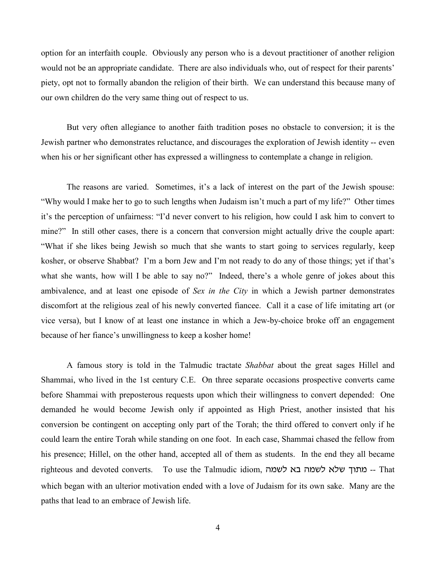option for an interfaith couple. Obviously any person who is a devout practitioner of another religion would not be an appropriate candidate. There are also individuals who, out of respect for their parents' piety, opt not to formally abandon the religion of their birth. We can understand this because many of our own children do the very same thing out of respect to us.

But very often allegiance to another faith tradition poses no obstacle to conversion; it is the Jewish partner who demonstrates reluctance, and discourages the exploration of Jewish identity -- even when his or her significant other has expressed a willingness to contemplate a change in religion.

The reasons are varied. Sometimes, it's a lack of interest on the part of the Jewish spouse: "Why would I make her to go to such lengths when Judaism isn't much a part of my life?" Other times it's the perception of unfairness: "I'd never convert to his religion, how could I ask him to convert to mine?" In still other cases, there is a concern that conversion might actually drive the couple apart: "What if she likes being Jewish so much that she wants to start going to services regularly, keep kosher, or observe Shabbat? I'm a born Jew and I'm not ready to do any of those things; yet if that's what she wants, how will I be able to say no?" Indeed, there's a whole genre of jokes about this ambivalence, and at least one episode of *Sex in the City* in which a Jewish partner demonstrates discomfort at the religious zeal of his newly converted fiancee. Call it a case of life imitating art (or vice versa), but I know of at least one instance in which a Jew-by-choice broke off an engagement because of her fiance's unwillingness to keep a kosher home!

A famous story is told in the Talmudic tractate *Shabbat* about the great sages Hillel and Shammai, who lived in the 1st century C.E. On three separate occasions prospective converts came before Shammai with preposterous requests upon which their willingness to convert depended: One demanded he would become Jewish only if appointed as High Priest, another insisted that his conversion be contingent on accepting only part of the Torah; the third offered to convert only if he could learn the entire Torah while standing on one foot. In each case, Shammai chased the fellow from his presence; Hillel, on the other hand, accepted all of them as students. In the end they all became righteous and devoted converts. To use the Talmudic idiom, במתוך שלא לשמה בא לשמה ה which began with an ulterior motivation ended with a love of Judaism for its own sake. Many are the paths that lead to an embrace of Jewish life.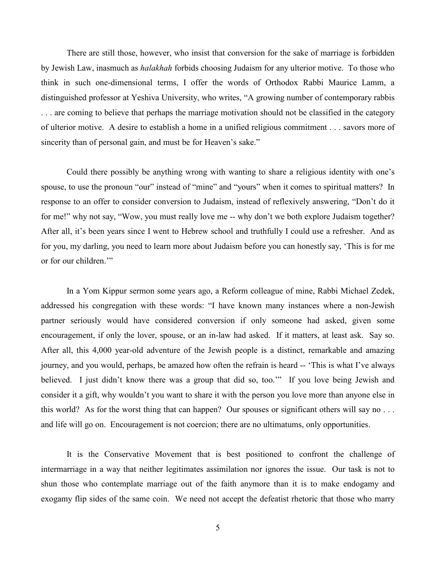There are still those, however, who insist that conversion for the sake of marriage is forbidden by Jewish Law, inasmuch as *halakhah* forbids choosing Judaism for any ulterior motive. To those who think in such one-dimensional terms, I offer the words of Orthodox Rabbi Maurice Lamm, a distinguished professor at Yeshiva University, who writes, "A growing number of contemporary rabbis . . . are coming to believe that perhaps the marriage motivation should not be classified in the category of ulterior motive. A desire to establish a home in a unified religious commitment . . . savors more of sincerity than of personal gain, and must be for Heaven's sake."

Could there possibly be anything wrong with wanting to share a religious identity with one's spouse, to use the pronoun "our" instead of "mine" and "yours" when it comes to spiritual matters? In response to an offer to consider conversion to Judaism, instead of reflexively answering, "Don't do it for me!" why not say, "Wow, you must really love me -- why don't we both explore Judaism together? After all, it's been years since I went to Hebrew school and truthfully I could use a refresher. And as for you, my darling, you need to learn more about Judaism before you can honestly say, 'This is for me or for our children.'"

In a Yom Kippur sermon some years ago, a Reform colleague of mine, Rabbi Michael Zedek, addressed his congregation with these words: "I have known many instances where a non-Jewish partner seriously would have considered conversion if only someone had asked, given some encouragement, if only the lover, spouse, or an in-law had asked. If it matters, at least ask. Say so. After all, this 4,000 year-old adventure of the Jewish people is a distinct, remarkable and amazing journey, and you would, perhaps, be amazed how often the refrain is heard -- 'This is what I've always believed. I just didn't know there was a group that did so, too.'" If you love being Jewish and consider it a gift, why wouldn't you want to share it with the person you love more than anyone else in this world? As for the worst thing that can happen? Our spouses or significant others will say no . . . and life will go on. Encouragement is not coercion; there are no ultimatums, only opportunities.

It is the Conservative Movement that is best positioned to confront the challenge of intermarriage in a way that neither legitimates assimilation nor ignores the issue. Our task is not to shun those who contemplate marriage out of the faith anymore than it is to make endogamy and exogamy flip sides of the same coin. We need not accept the defeatist rhetoric that those who marry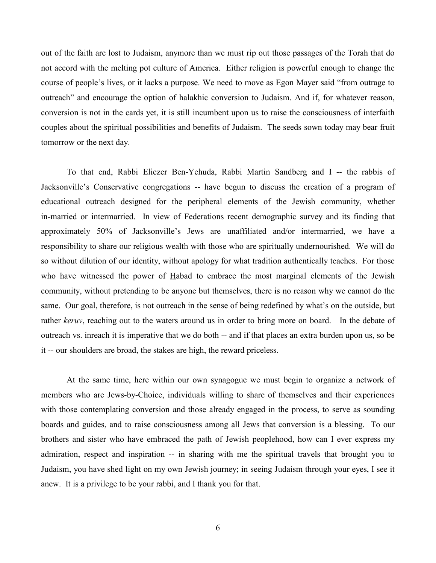out of the faith are lost to Judaism, anymore than we must rip out those passages of the Torah that do not accord with the melting pot culture of America. Either religion is powerful enough to change the course of people's lives, or it lacks a purpose. We need to move as Egon Mayer said "from outrage to outreach" and encourage the option of halakhic conversion to Judaism. And if, for whatever reason, conversion is not in the cards yet, it is still incumbent upon us to raise the consciousness of interfaith couples about the spiritual possibilities and benefits of Judaism. The seeds sown today may bear fruit tomorrow or the next day.

To that end, Rabbi Eliezer Ben-Yehuda, Rabbi Martin Sandberg and I -- the rabbis of Jacksonville's Conservative congregations -- have begun to discuss the creation of a program of educational outreach designed for the peripheral elements of the Jewish community, whether in-married or intermarried. In view of Federations recent demographic survey and its finding that approximately 50% of Jacksonville's Jews are unaffiliated and/or intermarried, we have a responsibility to share our religious wealth with those who are spiritually undernourished. We will do so without dilution of our identity, without apology for what tradition authentically teaches. For those who have witnessed the power of Habad to embrace the most marginal elements of the Jewish community, without pretending to be anyone but themselves, there is no reason why we cannot do the same. Our goal, therefore, is not outreach in the sense of being redefined by what's on the outside, but rather *keruv*, reaching out to the waters around us in order to bring more on board. In the debate of outreach vs. inreach it is imperative that we do both -- and if that places an extra burden upon us, so be it -- our shoulders are broad, the stakes are high, the reward priceless.

At the same time, here within our own synagogue we must begin to organize a network of members who are Jews-by-Choice, individuals willing to share of themselves and their experiences with those contemplating conversion and those already engaged in the process, to serve as sounding boards and guides, and to raise consciousness among all Jews that conversion is a blessing. To our brothers and sister who have embraced the path of Jewish peoplehood, how can I ever express my admiration, respect and inspiration -- in sharing with me the spiritual travels that brought you to Judaism, you have shed light on my own Jewish journey; in seeing Judaism through your eyes, I see it anew. It is a privilege to be your rabbi, and I thank you for that.